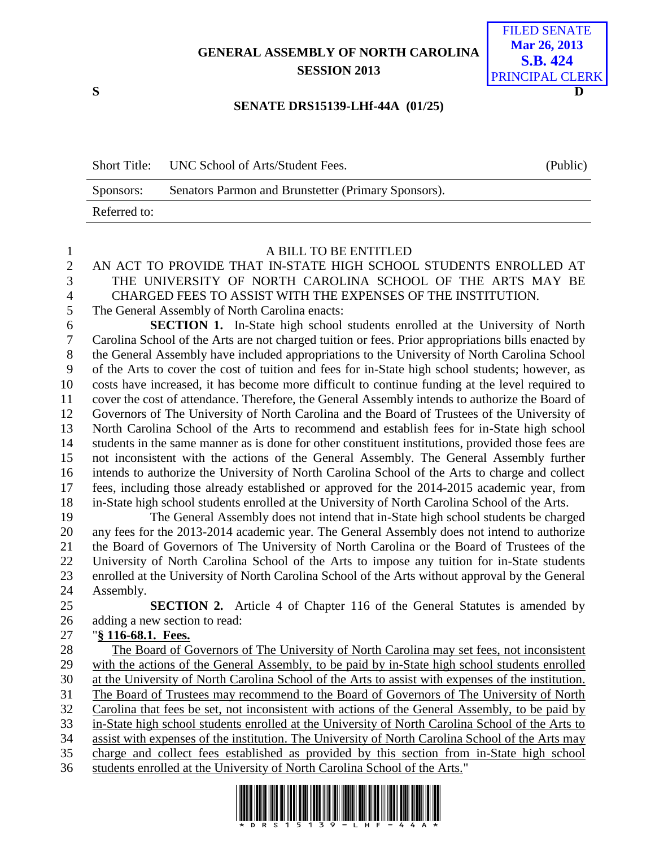# **GENERAL ASSEMBLY OF NORTH CAROLINA SESSION 2013**



### **SENATE DRS15139-LHf-44A (01/25)**

| <b>Short Title:</b> | UNC School of Arts/Student Fees.                    | (Public) |
|---------------------|-----------------------------------------------------|----------|
| Sponsors:           | Senators Parmon and Brunstetter (Primary Sponsors). |          |
| Referred to:        |                                                     |          |

#### A BILL TO BE ENTITLED

# AN ACT TO PROVIDE THAT IN-STATE HIGH SCHOOL STUDENTS ENROLLED AT THE UNIVERSITY OF NORTH CAROLINA SCHOOL OF THE ARTS MAY BE

CHARGED FEES TO ASSIST WITH THE EXPENSES OF THE INSTITUTION.

The General Assembly of North Carolina enacts:

 **SECTION 1.** In-State high school students enrolled at the University of North Carolina School of the Arts are not charged tuition or fees. Prior appropriations bills enacted by the General Assembly have included appropriations to the University of North Carolina School of the Arts to cover the cost of tuition and fees for in-State high school students; however, as costs have increased, it has become more difficult to continue funding at the level required to cover the cost of attendance. Therefore, the General Assembly intends to authorize the Board of Governors of The University of North Carolina and the Board of Trustees of the University of North Carolina School of the Arts to recommend and establish fees for in-State high school students in the same manner as is done for other constituent institutions, provided those fees are not inconsistent with the actions of the General Assembly. The General Assembly further intends to authorize the University of North Carolina School of the Arts to charge and collect fees, including those already established or approved for the 2014-2015 academic year, from in-State high school students enrolled at the University of North Carolina School of the Arts.

 The General Assembly does not intend that in-State high school students be charged any fees for the 2013-2014 academic year. The General Assembly does not intend to authorize the Board of Governors of The University of North Carolina or the Board of Trustees of the University of North Carolina School of the Arts to impose any tuition for in-State students enrolled at the University of North Carolina School of the Arts without approval by the General Assembly.

 **SECTION 2.** Article 4 of Chapter 116 of the General Statutes is amended by adding a new section to read:

### "**§ 116-68.1. Fees.**

 The Board of Governors of The University of North Carolina may set fees, not inconsistent with the actions of the General Assembly, to be paid by in-State high school students enrolled at the University of North Carolina School of the Arts to assist with expenses of the institution. The Board of Trustees may recommend to the Board of Governors of The University of North Carolina that fees be set, not inconsistent with actions of the General Assembly, to be paid by in-State high school students enrolled at the University of North Carolina School of the Arts to assist with expenses of the institution. The University of North Carolina School of the Arts may charge and collect fees established as provided by this section from in-State high school students enrolled at the University of North Carolina School of the Arts."